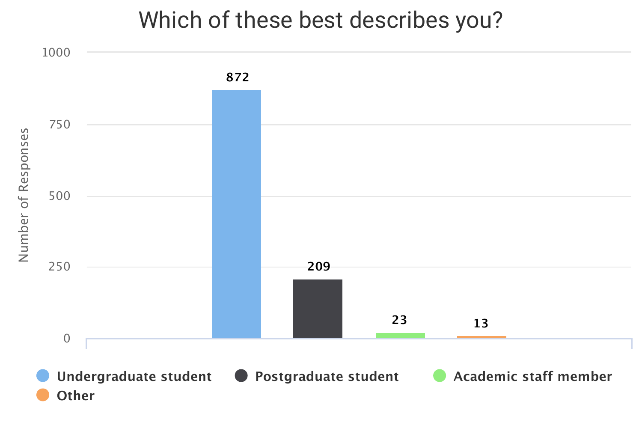### Which of these best describes you?



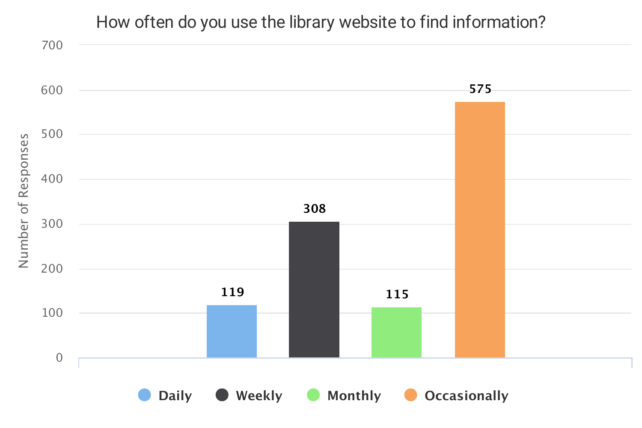### How often do you use the library website to find information?

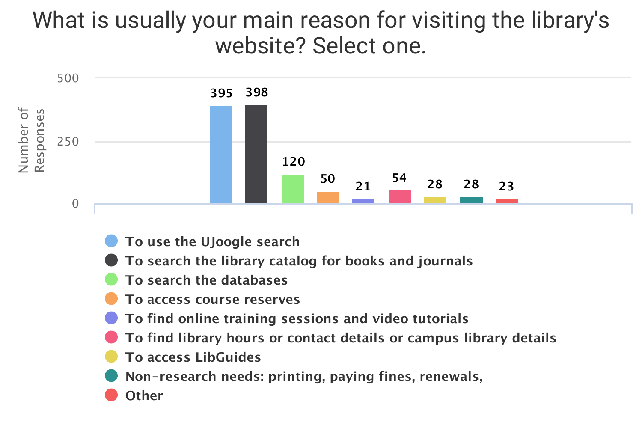### What is usually your main reason for visiting the library's website? Select one.



- **To use the UJoogle search**
- **To search the library catalog for books and journals**
- **To search the databases**
- **To access course reserves**
- **To find online training sessions and video tutorials**
- **To find library hours or contact details or campus library details**
- **To access LibGuides**
- **Non-research needs: printing, paying fines, renewals,**
- **Other**

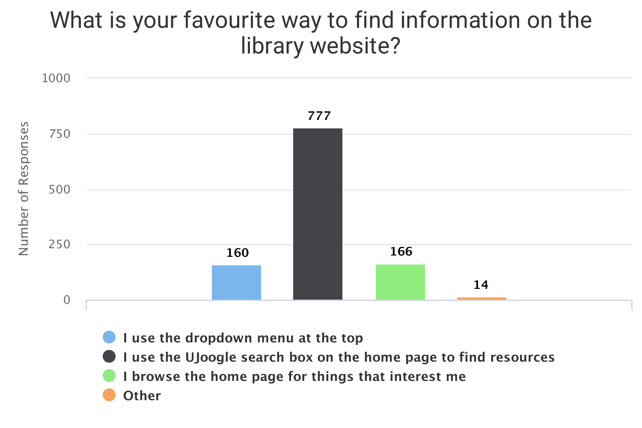R $\bf \Phi$  $\boldsymbol{\mathsf{S}}$  $\mathbf{\Omega}$ o $\blacksquare$  $\boldsymbol{\mathsf{S}}$  $\bf \Phi$  $\boldsymbol{\mathsf{S}}$ 

### What is your favourite way to find information on the library website?



 $\mathbb Z$  $\mathbf{\Sigma}% _{t}\left( t\right)$  $\mathbf \Xi$  $\mathbf{\Omega}$  $\bf \Phi$ ے o $\overline{\phantom{0}}$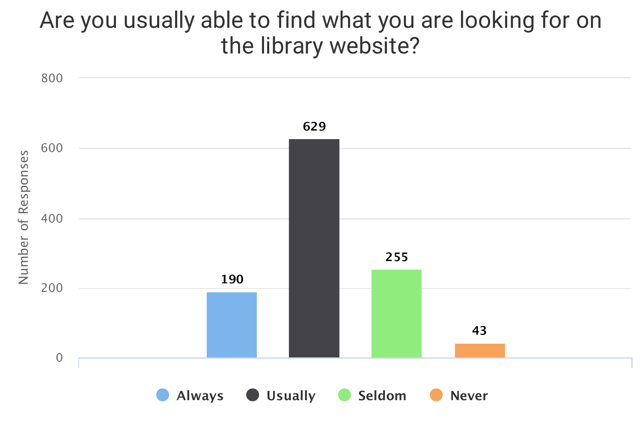## Are you usually able to find what you are looking for on the library website?

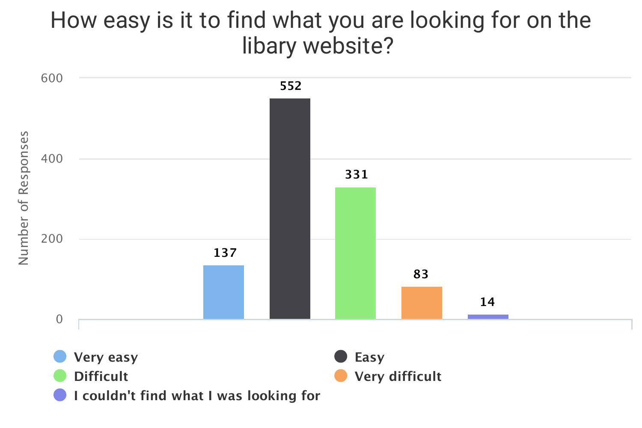## How easy is it to find what you are looking for on the libary website?



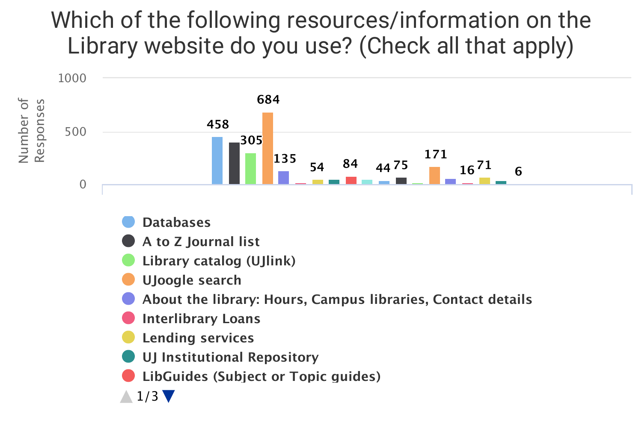# Which of the following resources/information on the Library website do you use? (Check all that apply)



- **About the library: Hours, Campus libraries, Contact details**
- **Interlibrary Loans**
- **Lending services**
- **UJ Institutional Repository**
- **LibGuides (Subject or Topic guides)**
- **Online training sessions and video tutorials** 1/3